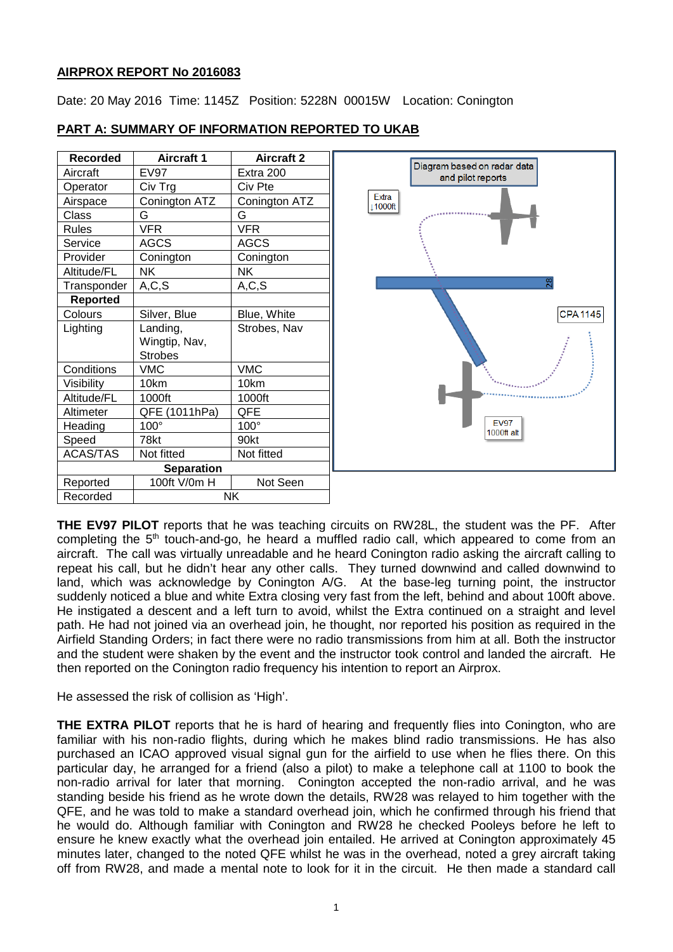### **AIRPROX REPORT No 2016083**

Date: 20 May 2016 Time: 1145Z Position: 5228N 00015W Location: Conington

| <b>Recorded</b>   | <b>Aircraft 1</b> | <b>Aircraft 2</b> |                                                  |
|-------------------|-------------------|-------------------|--------------------------------------------------|
| Aircraft          | EV97              | Extra 200         | Diagram based on radar data<br>and pilot reports |
| Operator          | Civ Trg           | Civ Pte           |                                                  |
| Airspace          | Conington ATZ     | Conington ATZ     | Extra<br>11000ft                                 |
| <b>Class</b>      | G                 | G                 |                                                  |
| <b>Rules</b>      | <b>VFR</b>        | <b>VFR</b>        |                                                  |
| Service           | <b>AGCS</b>       | <b>AGCS</b>       |                                                  |
| Provider          | Conington         | Conington         |                                                  |
| Altitude/FL       | <b>NK</b>         | <b>NK</b>         |                                                  |
| Transponder       | A, C, S           | A, C, S           | 28                                               |
| <b>Reported</b>   |                   |                   |                                                  |
| Colours           | Silver, Blue      | Blue, White       | <b>CPA</b>                                       |
| Lighting          | Landing,          | Strobes, Nav      |                                                  |
|                   | Wingtip, Nav,     |                   |                                                  |
|                   | <b>Strobes</b>    |                   |                                                  |
| Conditions        | <b>VMC</b>        | <b>VMC</b>        |                                                  |
| Visibility        | 10km              | 10km              |                                                  |
| Altitude/FL       | 1000ft            | 1000ft            |                                                  |
| Altimeter         | QFE (1011hPa)     | QFE               |                                                  |
| Heading           | 100°              | 100°              | <b>EV97</b><br>1000ft alt                        |
| Speed             | 78kt              | 90kt              |                                                  |
| <b>ACAS/TAS</b>   | Not fitted        | Not fitted        |                                                  |
| <b>Separation</b> |                   |                   |                                                  |
| Reported          | 100ft V/0m H      | Not Seen          |                                                  |
| Recorded          | <b>NK</b>         |                   |                                                  |

1145

# **PART A: SUMMARY OF INFORMATION REPORTED TO UKAB**

**THE EV97 PILOT** reports that he was teaching circuits on RW28L, the student was the PF. After completing the 5<sup>th</sup> touch-and-go, he heard a muffled radio call, which appeared to come from an aircraft. The call was virtually unreadable and he heard Conington radio asking the aircraft calling to repeat his call, but he didn't hear any other calls. They turned downwind and called downwind to land, which was acknowledge by Conington A/G. At the base-leg turning point, the instructor suddenly noticed a blue and white Extra closing very fast from the left, behind and about 100ft above. He instigated a descent and a left turn to avoid, whilst the Extra continued on a straight and level path. He had not joined via an overhead join, he thought, nor reported his position as required in the Airfield Standing Orders; in fact there were no radio transmissions from him at all. Both the instructor and the student were shaken by the event and the instructor took control and landed the aircraft. He then reported on the Conington radio frequency his intention to report an Airprox.

He assessed the risk of collision as 'High'.

**THE EXTRA PILOT** reports that he is hard of hearing and frequently flies into Conington, who are familiar with his non-radio flights, during which he makes blind radio transmissions. He has also purchased an ICAO approved visual signal gun for the airfield to use when he flies there. On this particular day, he arranged for a friend (also a pilot) to make a telephone call at 1100 to book the non-radio arrival for later that morning. Conington accepted the non-radio arrival, and he was standing beside his friend as he wrote down the details, RW28 was relayed to him together with the QFE, and he was told to make a standard overhead join, which he confirmed through his friend that he would do. Although familiar with Conington and RW28 he checked Pooleys before he left to ensure he knew exactly what the overhead join entailed. He arrived at Conington approximately 45 minutes later, changed to the noted QFE whilst he was in the overhead, noted a grey aircraft taking off from RW28, and made a mental note to look for it in the circuit. He then made a standard call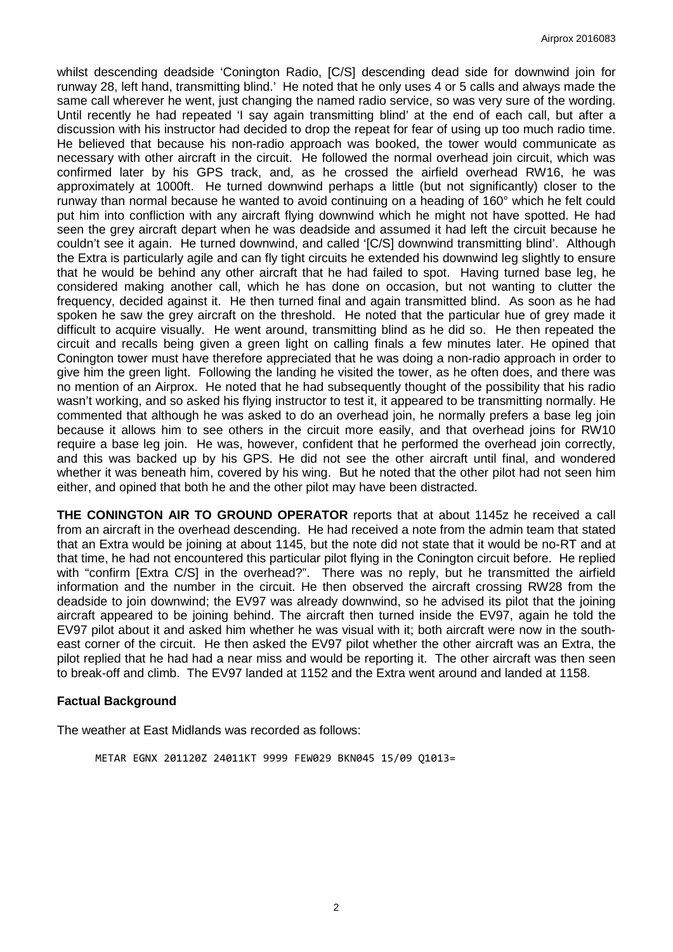whilst descending deadside 'Conington Radio, [C/S] descending dead side for downwind join for runway 28, left hand, transmitting blind.' He noted that he only uses 4 or 5 calls and always made the same call wherever he went, just changing the named radio service, so was very sure of the wording. Until recently he had repeated 'I say again transmitting blind' at the end of each call, but after a discussion with his instructor had decided to drop the repeat for fear of using up too much radio time. He believed that because his non-radio approach was booked, the tower would communicate as necessary with other aircraft in the circuit. He followed the normal overhead join circuit, which was confirmed later by his GPS track, and, as he crossed the airfield overhead RW16, he was approximately at 1000ft. He turned downwind perhaps a little (but not significantly) closer to the runway than normal because he wanted to avoid continuing on a heading of 160° which he felt could put him into confliction with any aircraft flying downwind which he might not have spotted. He had seen the grey aircraft depart when he was deadside and assumed it had left the circuit because he couldn't see it again. He turned downwind, and called '[C/S] downwind transmitting blind'. Although the Extra is particularly agile and can fly tight circuits he extended his downwind leg slightly to ensure that he would be behind any other aircraft that he had failed to spot. Having turned base leg, he considered making another call, which he has done on occasion, but not wanting to clutter the frequency, decided against it. He then turned final and again transmitted blind. As soon as he had spoken he saw the grey aircraft on the threshold. He noted that the particular hue of grey made it difficult to acquire visually. He went around, transmitting blind as he did so. He then repeated the circuit and recalls being given a green light on calling finals a few minutes later. He opined that Conington tower must have therefore appreciated that he was doing a non-radio approach in order to give him the green light. Following the landing he visited the tower, as he often does, and there was no mention of an Airprox. He noted that he had subsequently thought of the possibility that his radio wasn't working, and so asked his flying instructor to test it, it appeared to be transmitting normally. He commented that although he was asked to do an overhead join, he normally prefers a base leg join because it allows him to see others in the circuit more easily, and that overhead joins for RW10 require a base leg join. He was, however, confident that he performed the overhead join correctly, and this was backed up by his GPS. He did not see the other aircraft until final, and wondered whether it was beneath him, covered by his wing. But he noted that the other pilot had not seen him either, and opined that both he and the other pilot may have been distracted.

**THE CONINGTON AIR TO GROUND OPERATOR** reports that at about 1145z he received a call from an aircraft in the overhead descending. He had received a note from the admin team that stated that an Extra would be joining at about 1145, but the note did not state that it would be no-RT and at that time, he had not encountered this particular pilot flying in the Conington circuit before. He replied with "confirm [Extra C/S] in the overhead?". There was no reply, but he transmitted the airfield information and the number in the circuit. He then observed the aircraft crossing RW28 from the deadside to join downwind; the EV97 was already downwind, so he advised its pilot that the joining aircraft appeared to be joining behind. The aircraft then turned inside the EV97, again he told the EV97 pilot about it and asked him whether he was visual with it; both aircraft were now in the southeast corner of the circuit. He then asked the EV97 pilot whether the other aircraft was an Extra, the pilot replied that he had had a near miss and would be reporting it. The other aircraft was then seen to break-off and climb. The EV97 landed at 1152 and the Extra went around and landed at 1158.

#### **Factual Background**

The weather at East Midlands was recorded as follows:

METAR EGNX 201120Z 24011KT 9999 FEW029 BKN045 15/09 Q1013=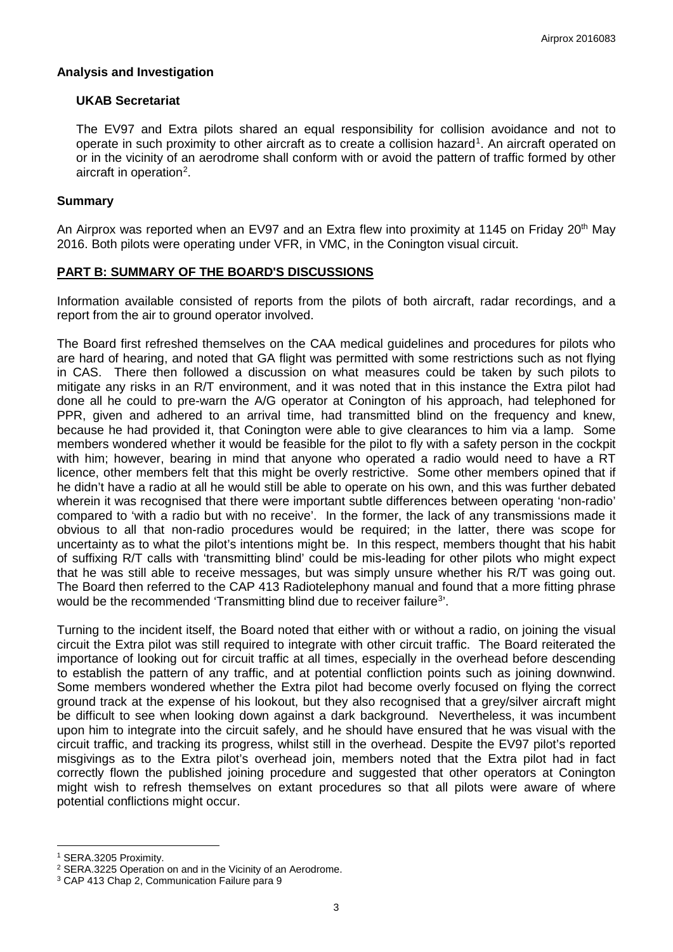### **Analysis and Investigation**

### **UKAB Secretariat**

The EV97 and Extra pilots shared an equal responsibility for collision avoidance and not to operate in such proximity to other aircraft as to create a collision hazard<sup>[1](#page-2-0)</sup>. An aircraft operated on or in the vicinity of an aerodrome shall conform with or avoid the pattern of traffic formed by other aircraft in operation<sup>[2](#page-2-1)</sup>.

### **Summary**

An Airprox was reported when an EV97 and an Extra flew into proximity at 1145 on Friday 20<sup>th</sup> May 2016. Both pilots were operating under VFR, in VMC, in the Conington visual circuit.

# **PART B: SUMMARY OF THE BOARD'S DISCUSSIONS**

Information available consisted of reports from the pilots of both aircraft, radar recordings, and a report from the air to ground operator involved.

The Board first refreshed themselves on the CAA medical guidelines and procedures for pilots who are hard of hearing, and noted that GA flight was permitted with some restrictions such as not flying in CAS. There then followed a discussion on what measures could be taken by such pilots to mitigate any risks in an R/T environment, and it was noted that in this instance the Extra pilot had done all he could to pre-warn the A/G operator at Conington of his approach, had telephoned for PPR, given and adhered to an arrival time, had transmitted blind on the frequency and knew, because he had provided it, that Conington were able to give clearances to him via a lamp. Some members wondered whether it would be feasible for the pilot to fly with a safety person in the cockpit with him; however, bearing in mind that anyone who operated a radio would need to have a RT licence, other members felt that this might be overly restrictive. Some other members opined that if he didn't have a radio at all he would still be able to operate on his own, and this was further debated wherein it was recognised that there were important subtle differences between operating 'non-radio' compared to 'with a radio but with no receive'. In the former, the lack of any transmissions made it obvious to all that non-radio procedures would be required; in the latter, there was scope for uncertainty as to what the pilot's intentions might be. In this respect, members thought that his habit of suffixing R/T calls with 'transmitting blind' could be mis-leading for other pilots who might expect that he was still able to receive messages, but was simply unsure whether his R/T was going out. The Board then referred to the CAP 413 Radiotelephony manual and found that a more fitting phrase would be the recommended 'Transmitting blind due to receiver failure<sup>[3](#page-2-2)'</sup>.

Turning to the incident itself, the Board noted that either with or without a radio, on joining the visual circuit the Extra pilot was still required to integrate with other circuit traffic. The Board reiterated the importance of looking out for circuit traffic at all times, especially in the overhead before descending to establish the pattern of any traffic, and at potential confliction points such as joining downwind. Some members wondered whether the Extra pilot had become overly focused on flying the correct ground track at the expense of his lookout, but they also recognised that a grey/silver aircraft might be difficult to see when looking down against a dark background. Nevertheless, it was incumbent upon him to integrate into the circuit safely, and he should have ensured that he was visual with the circuit traffic, and tracking its progress, whilst still in the overhead. Despite the EV97 pilot's reported misgivings as to the Extra pilot's overhead join, members noted that the Extra pilot had in fact correctly flown the published joining procedure and suggested that other operators at Conington might wish to refresh themselves on extant procedures so that all pilots were aware of where potential conflictions might occur.

 $\overline{\phantom{a}}$ 

<span id="page-2-0"></span><sup>1</sup> SERA.3205 Proximity.

<span id="page-2-1"></span><sup>2</sup> SERA.3225 Operation on and in the Vicinity of an Aerodrome.

<span id="page-2-2"></span><sup>3</sup> CAP 413 Chap 2, Communication Failure para 9